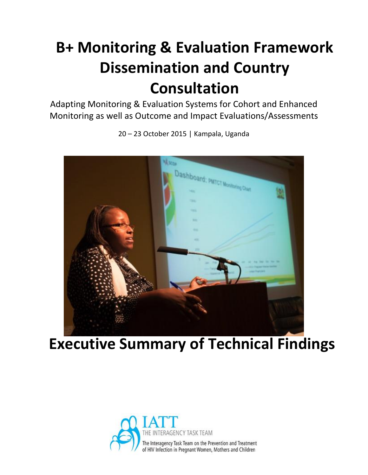# **B+ Monitoring & Evaluation Framework Dissemination and Country Consultation**

Adapting Monitoring & Evaluation Systems for Cohort and Enhanced Monitoring as well as Outcome and Impact Evaluations/Assessments



20 – 23 October 2015 | Kampala, Uganda

# **Executive Summary of Technical Findings**

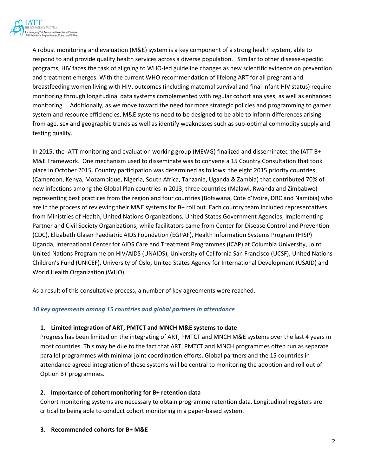

A robust monitoring and evaluation (M&E) system is a key component of a strong health system, able to respond to and provide quality health services across a diverse population. Similar to other disease-specific programs, HIV faces the task of aligning to WHO-led guideline changes as new scientific evidence on prevention and treatment emerges. With the current WHO recommendation of lifelong ART for all pregnant and breastfeeding women living with HIV, outcomes (including maternal survival and final infant HIV status) require monitoring through longitudinal data systems complemented with regular cohort analyses, as well as enhanced monitoring. Additionally, as we move toward the need for more strategic policies and programming to garner system and resource efficiencies, M&E systems need to be designed to be able to inform differences arising from age, sex and geographic trends as well as identify weaknesses such as sub-optimal commodity supply and testing quality.

In 2015, the IATT monitoring and evaluation working group (MEWG) finalized and disseminated the IATT B+ M&E Framework. One mechanism used to disseminate was to convene a 15 Country Consultation that took place in October 2015. Country participation was determined as follows: the eight 2015 priority countries (Cameroon, Kenya, Mozambique, Nigeria, South Africa, Tanzania, Uganda & Zambia) that contributed 70% of new infections among the Global Plan countries in 2013, three countries (Malawi, Rwanda and Zimbabwe) representing best practices from the region and four countries (Botswana, Cote d'Ivoire, DRC and Namibia) who are in the process of reviewing their M&E systems for B+ roll out. Each country team included representatives from Ministries of Health, United Nations Organizations, United States Government Agencies, Implementing Partner and Civil Society Organizations; while facilitators came from Center for Disease Control and Prevention (CDC), Elizabeth Glaser Paediatric AIDS Foundation (EGPAF), Health Information Systems Program (HISP) Uganda, International Center for AIDS Care and Treatment Programmes (ICAP) at Columbia University, Joint United Nations Programme on HIV/AIDS (UNAIDS), University of California San Francisco (UCSF), United Nations Children's Fund (UNICEF), University of Oslo, United States Agency for International Development (USAID) and World Health Organization (WHO).

As a result of this consultative process, a number of key agreements were reached.

#### *10 key agreements among 15 countries and global partners in attendance*

#### **1. Limited integration of ART, PMTCT and MNCH M&E systems to date**

Progress has been limited on the integrating of ART, PMTCT and MNCH M&E systems over the last 4 years in most countries. This may be due to the fact that ART, PMTCT and MNCH programmes often run as separate parallel programmes with minimal joint coordination efforts. Global partners and the 15 countries in attendance agreed integration of these systems will be central to monitoring the adoption and roll out of Option B+ programmes.

#### **2. Importance of cohort monitoring for B+ retention data**

Cohort monitoring systems are necessary to obtain programme retention data. Longitudinal registers are critical to being able to conduct cohort monitoring in a paper-based system.

#### **3. Recommended cohorts for B+ M&E**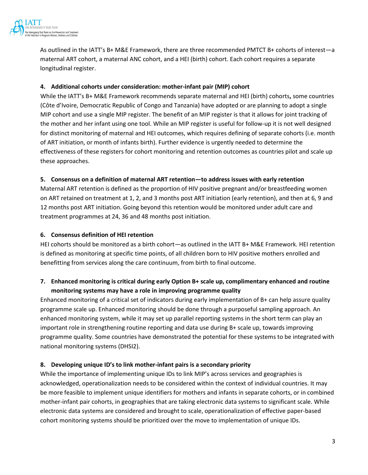

As outlined in the IATT's B+ M&E Framework, there are three recommended PMTCT B+ cohorts of interest—a maternal ART cohort, a maternal ANC cohort, and a HEI (birth) cohort. Each cohort requires a separate longitudinal register.

#### **4. Additional cohorts under consideration: mother-infant pair (MIP) cohort**

While the IATT's B+ M&E Framework recommends separate maternal and HEI (birth) cohorts**,** some countries (Côte d'Ivoire, Democratic Republic of Congo and Tanzania) have adopted or are planning to adopt a single MIP cohort and use a single MIP register. The benefit of an MIP register is that it allows for joint tracking of the mother and her infant using one tool. While an MIP register is useful for follow-up it is not well designed for distinct monitoring of maternal and HEI outcomes, which requires defining of separate cohorts (i.e. month of ART initiation, or month of infants birth). Further evidence is urgently needed to determine the effectiveness of these registers for cohort monitoring and retention outcomes as countries pilot and scale up these approaches.

#### **5. Consensus on a definition of maternal ART retention—to address issues with early retention**

Maternal ART retention is defined as the proportion of HIV positive pregnant and/or breastfeeding women on ART retained on treatment at 1, 2, and 3 months post ART initiation (early retention), and then at 6, 9 and 12 months post ART initiation. Going beyond this retention would be monitored under adult care and treatment programmes at 24, 36 and 48 months post initiation.

#### **6. Consensus definition of HEI retention**

HEI cohorts should be monitored as a birth cohort—as outlined in the IATT B+ M&E Framework. HEI retention is defined as monitoring at specific time points, of all children born to HIV positive mothers enrolled and benefitting from services along the care continuum, from birth to final outcome.

## **7. Enhanced monitoring is critical during early Option B+ scale up, complimentary enhanced and routine monitoring systems may have a role in improving programme quality**

Enhanced monitoring of a critical set of indicators during early implementation of B+ can help assure quality programme scale up. Enhanced monitoring should be done through a purposeful sampling approach. An enhanced monitoring system, while it may set up parallel reporting systems in the short term can play an important role in strengthening routine reporting and data use during B+ scale up, towards improving programme quality. Some countries have demonstrated the potential for these systems to be integrated with national monitoring systems (DHSI2).

### **8. Developing unique ID's to link mother-infant pairs is a secondary priority**

While the importance of implementing unique IDs to link MIP's across services and geographies is acknowledged, operationalization needs to be considered within the context of individual countries. It may be more feasible to implement unique identifiers for mothers and infants in separate cohorts, or in combined mother-infant pair cohorts, in geographies that are taking electronic data systems to significant scale. While electronic data systems are considered and brought to scale, operationalization of effective paper-based cohort monitoring systems should be prioritized over the move to implementation of unique IDs.